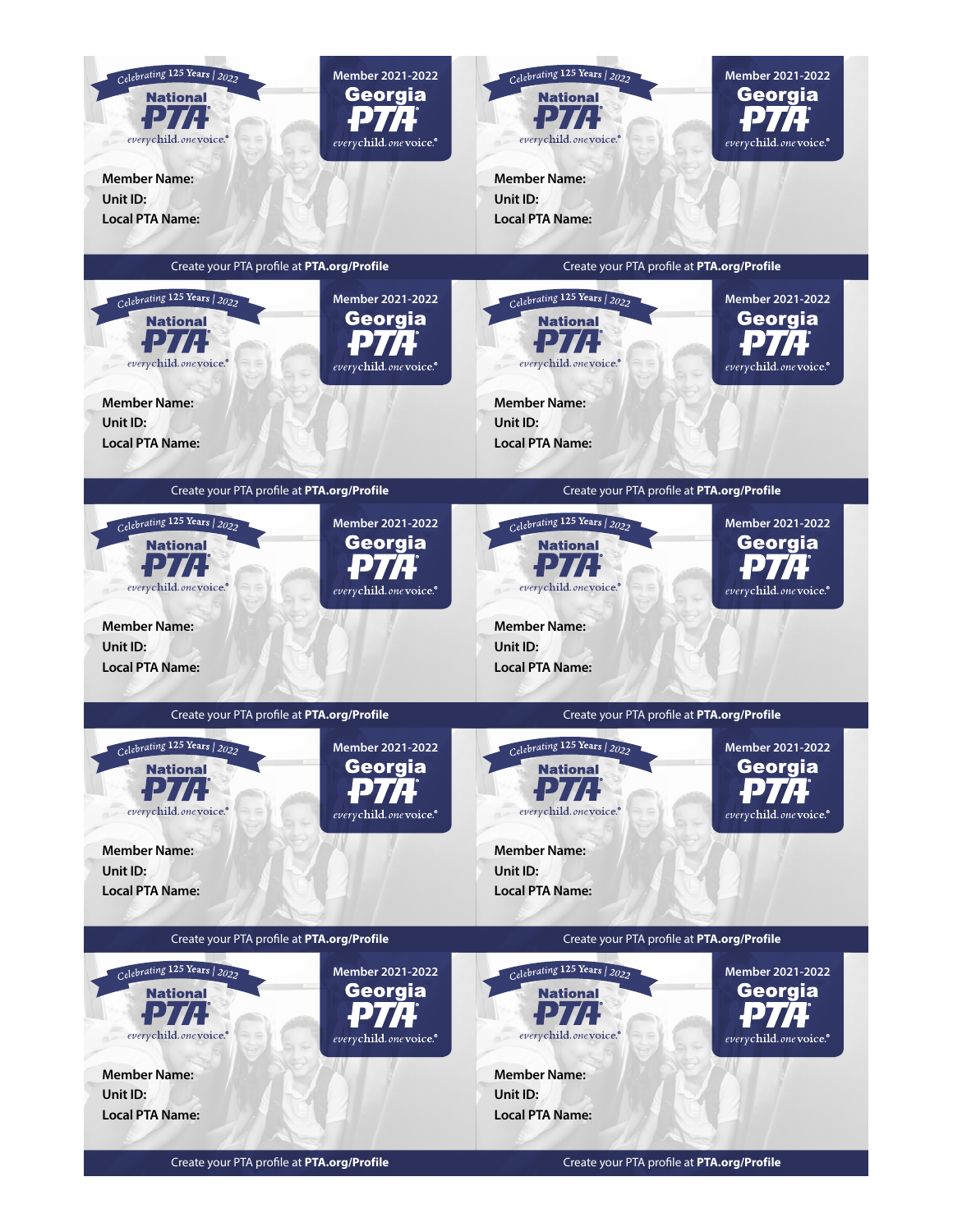